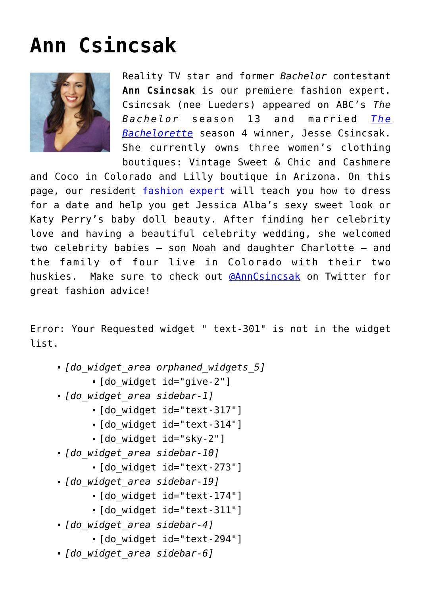## **[Ann Csincsak](https://cupidspulse.com/relationship-experts/ann-csincsak-fashion-expert/)**



Reality TV star and former *Bachelor* contestant **Ann Csincsak** is our premiere fashion expert. Csincsak (nee Lueders) appeared on ABC's *The Bachelor* season 13 and married *[The](http://cupidspulse.com/reality-tv-couples/the-bachelorette/) [Bachelorette](http://cupidspulse.com/reality-tv-couples/the-bachelorette/)* season 4 winner, Jesse Csincsak. She currently owns three women's clothing boutiques: Vintage Sweet & Chic and Cashmere

and Coco in Colorado and Lilly boutique in Arizona. On this page, our resident [fashion expert](http://cupidspulse.com/dating/celebrity-fashion-get-the-look/) will teach you how to dress for a date and help you get Jessica Alba's sexy sweet look or Katy Perry's baby doll beauty. After finding her celebrity love and having a beautiful celebrity wedding, she welcomed two celebrity babies — son Noah and daughter Charlotte — and the family of four live in Colorado with their two huskies.Make sure to check out [@AnnCsincsak](https://twitter.com/AnnCsincsak) on Twitter for great fashion advice!

Error: Your Requested widget " text-301" is not in the widget list.

- *[do\_widget\_area orphaned\_widgets\_5]*
	- [do\_widget id="give-2"]
- *[do\_widget\_area sidebar-1]*
	- [do\_widget id="text-317"]
	- [do\_widget id="text-314"]
	- [do\_widget id="sky-2"]
- *[do\_widget\_area sidebar-10]*
	- [do\_widget id="text-273"]
- *[do\_widget\_area sidebar-19]*
	- [do\_widget id="text-174"]
	- [do\_widget id="text-311"]
- *[do\_widget\_area sidebar-4]*
	- [do\_widget id="text-294"]
- *[do\_widget\_area sidebar-6]*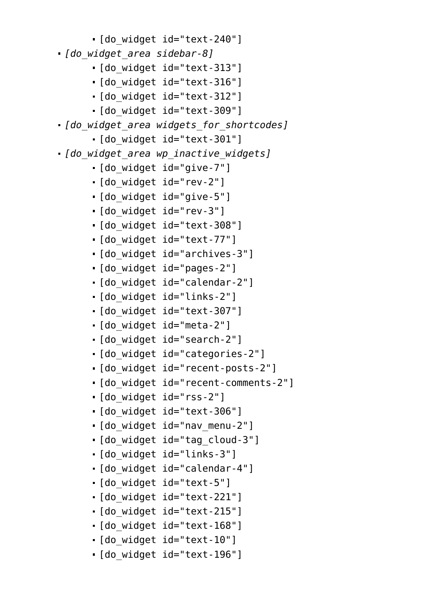- [do\_widget id="text-240"]
- *[do\_widget\_area sidebar-8]*
	- [do\_widget id="text-313"]
	- [do\_widget id="text-316"]
	- [do\_widget id="text-312"]
	- [do\_widget id="text-309"]
- *[do\_widget\_area widgets\_for\_shortcodes]*
	- [do\_widget id="text-301"]
- *[do\_widget\_area wp\_inactive\_widgets]*
	- [do\_widget id="give-7"]
	- [do\_widget id="rev-2"]
	- [do\_widget id="give-5"]
	- [do\_widget id="rev-3"]
	- [do\_widget id="text-308"]
	- [do\_widget id="text-77"]
	- [do\_widget id="archives-3"]
	- [do\_widget id="pages-2"]
	- [do\_widget id="calendar-2"]
	- [do\_widget id="links-2"]
	- [do\_widget id="text-307"]
	- [do\_widget id="meta-2"]
	- [do\_widget id="search-2"]
	- [do\_widget id="categories-2"]
	- [do\_widget id="recent-posts-2"]
	- [do\_widget id="recent-comments-2"]
	- [do\_widget id="rss-2"]
	- [do\_widget id="text-306"]
	- [do\_widget id="nav\_menu-2"]
	- [do\_widget id="tag\_cloud-3"]
	- [do\_widget id="links-3"]
	- [do\_widget id="calendar-4"]
	- [do\_widget id="text-5"]
	- [do\_widget id="text-221"]
	- [do\_widget id="text-215"]
	- [do\_widget id="text-168"]
	- [do\_widget id="text-10"]
	- [do\_widget id="text-196"]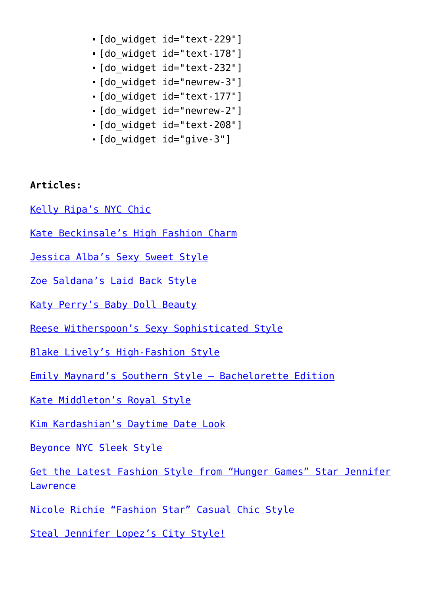- [do\_widget id="text-229"]
- [do\_widget id="text-178"]
- [do\_widget id="text-232"]
- [do\_widget id="newrew-3"]
- [do\_widget id="text-177"]
- [do\_widget id="newrew-2"]
- [do\_widget id="text-208"]
- [do\_widget id="give-3"]

## **Articles:**

- [Kelly Ripa's NYC Chic](http://cupidspulse.com/kelly-ripa-nyc-chic/)
- [Kate Beckinsale's High Fashion Charm](http://cupidspulse.com/kate-beckinsales-high-fashion-charm/)
- [Jessica Alba's Sexy Sweet Style](http://cupidspulse.com/jessica-albas-sexy-sweet-style/)
- [Zoe Saldana's Laid Back Style](http://cupidspulse.com/zoe-saldana-get-the-look-ann-csincsak/)
- [Katy Perry's Baby Doll Beauty](http://cupidspulse.com/katy-perry-get-the-look-ann-csincsak/)
- [Reese Witherspoon's Sexy Sophisticated Style](http://cupidspulse.com/reese-witherspoons-sexy-sophisticated-style/)
- [Blake Lively's High-Fashion Style](http://cupidspulse.com/blake-livelys-high-fashion-style/)
- [Emily Maynard's Southern Style Bachelorette Edition](http://cupidspulse.com/emily-maynard-bachelorette-get-the-look-ann-csincasa/)
- [Kate Middleton's Royal Style](http://cupidspulse.com/kate-middletons-royal-style-get-the-look/)
- [Kim Kardashian's Daytime Date Look](http://cupidspulse.com/kim-kardashians-daytime-date-fashion-ann-csincsak/)
- [Beyonce NYC Sleek Style](http://cupidspulse.com/beyonce-nyc-fashion-style/)
- [Get the Latest Fashion Style from "Hunger Games" Star Jennifer](http://cupidspulse.com/hunger-games-jennifer-lawrence-fashion-style/) **[Lawrence](http://cupidspulse.com/hunger-games-jennifer-lawrence-fashion-style/)**
- [Nicole Richie "Fashion Star" Casual Chic Style](http://cupidspulse.com/nicole-richie-fashion-star-casual-chic-style/)
- [Steal Jennifer Lopez's City Style!](http://cupidspulse.com/steal-jennifer-lopez-city-style-fashion-date-outfit/)